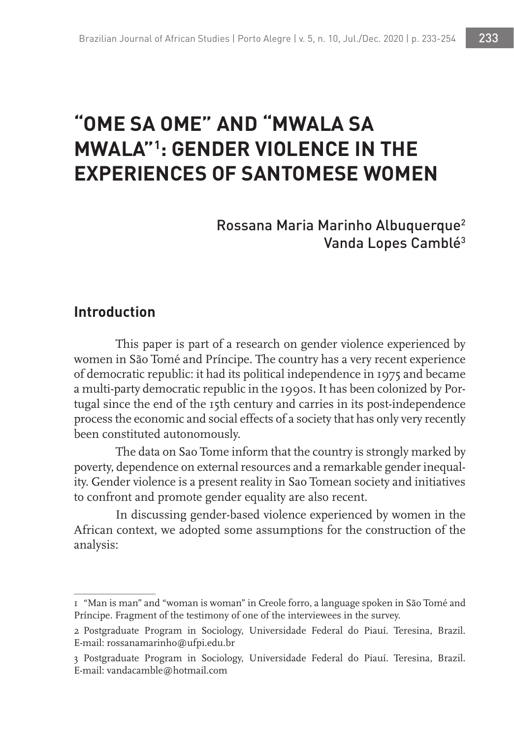# **"OME SA OME" AND "MWALA SA MWALA"1 : GENDER VIOLENCE IN THE EXPERIENCES OF SANTOMESE WOMEN**

Rossana Maria Marinho Albuquerque2 Vanda Lopes Camblé<sup>3</sup>

## **Introduction**

This paper is part of a research on gender violence experienced by women in São Tomé and Príncipe. The country has a very recent experience of democratic republic: it had its political independence in 1975 and became a multi-party democratic republic in the 1990s. It has been colonized by Portugal since the end of the 15th century and carries in its post-independence process the economic and social effects of a society that has only very recently been constituted autonomously.

The data on Sao Tome inform that the country is strongly marked by poverty, dependence on external resources and a remarkable gender inequality. Gender violence is a present reality in Sao Tomean society and initiatives to confront and promote gender equality are also recent.

In discussing gender-based violence experienced by women in the African context, we adopted some assumptions for the construction of the analysis:

<sup>1</sup> "Man is man" and "woman is woman" in Creole forro, a language spoken in São Tomé and Príncipe. Fragment of the testimony of one of the interviewees in the survey.

<sup>2</sup> Postgraduate Program in Sociology, Universidade Federal do Piauí. Teresina, Brazil. E-mail: rossanamarinho@ufpi.edu.br

<sup>3</sup> Postgraduate Program in Sociology, Universidade Federal do Piauí. Teresina, Brazil. E-mail: vandacamble@hotmail.com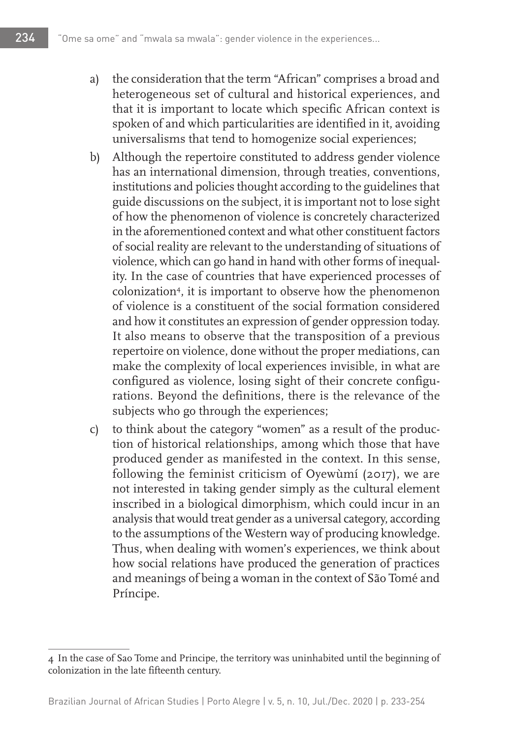- a) the consideration that the term "African" comprises a broad and heterogeneous set of cultural and historical experiences, and that it is important to locate which specific African context is spoken of and which particularities are identified in it, avoiding universalisms that tend to homogenize social experiences;
- b) Although the repertoire constituted to address gender violence has an international dimension, through treaties, conventions, institutions and policies thought according to the guidelines that guide discussions on the subject, it is important not to lose sight of how the phenomenon of violence is concretely characterized in the aforementioned context and what other constituent factors of social reality are relevant to the understanding of situations of violence, which can go hand in hand with other forms of inequality. In the case of countries that have experienced processes of colonization<sup>4</sup>, it is important to observe how the phenomenon of violence is a constituent of the social formation considered and how it constitutes an expression of gender oppression today. It also means to observe that the transposition of a previous repertoire on violence, done without the proper mediations, can make the complexity of local experiences invisible, in what are configured as violence, losing sight of their concrete configurations. Beyond the definitions, there is the relevance of the subjects who go through the experiences;
- c) to think about the category "women" as a result of the production of historical relationships, among which those that have produced gender as manifested in the context. In this sense, following the feminist criticism of Oyewùmí (2017), we are not interested in taking gender simply as the cultural element inscribed in a biological dimorphism, which could incur in an analysis that would treat gender as a universal category, according to the assumptions of the Western way of producing knowledge. Thus, when dealing with women's experiences, we think about how social relations have produced the generation of practices and meanings of being a woman in the context of São Tomé and Príncipe.

<sup>4</sup> In the case of Sao Tome and Principe, the territory was uninhabited until the beginning of colonization in the late fifteenth century.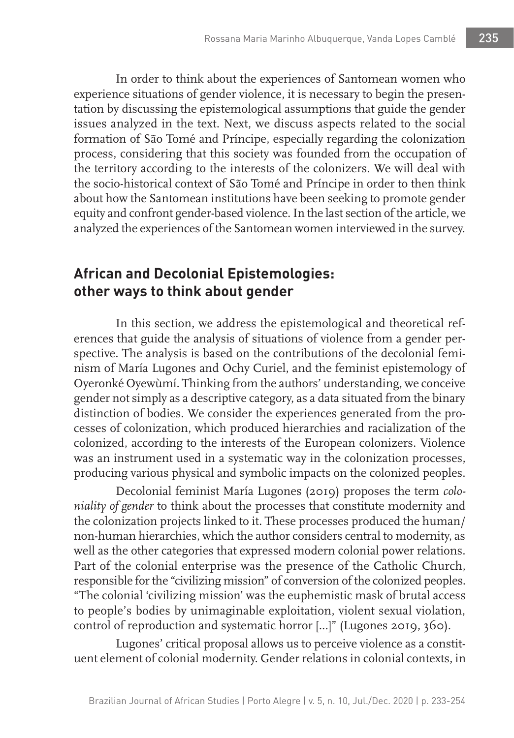In order to think about the experiences of Santomean women who experience situations of gender violence, it is necessary to begin the presentation by discussing the epistemological assumptions that guide the gender issues analyzed in the text. Next, we discuss aspects related to the social formation of São Tomé and Príncipe, especially regarding the colonization process, considering that this society was founded from the occupation of the territory according to the interests of the colonizers. We will deal with the socio-historical context of São Tomé and Príncipe in order to then think about how the Santomean institutions have been seeking to promote gender equity and confront gender-based violence. In the last section of the article, we analyzed the experiences of the Santomean women interviewed in the survey.

# **African and Decolonial Epistemologies: other ways to think about gender**

In this section, we address the epistemological and theoretical references that guide the analysis of situations of violence from a gender perspective. The analysis is based on the contributions of the decolonial feminism of María Lugones and Ochy Curiel, and the feminist epistemology of Oyeronké Oyewùmí. Thinking from the authors' understanding, we conceive gender not simply as a descriptive category, as a data situated from the binary distinction of bodies. We consider the experiences generated from the processes of colonization, which produced hierarchies and racialization of the colonized, according to the interests of the European colonizers. Violence was an instrument used in a systematic way in the colonization processes, producing various physical and symbolic impacts on the colonized peoples.

Decolonial feminist María Lugones (2019) proposes the term *coloniality of gender* to think about the processes that constitute modernity and the colonization projects linked to it. These processes produced the human/ non-human hierarchies, which the author considers central to modernity, as well as the other categories that expressed modern colonial power relations. Part of the colonial enterprise was the presence of the Catholic Church, responsible for the "civilizing mission" of conversion of the colonized peoples. "The colonial 'civilizing mission' was the euphemistic mask of brutal access to people's bodies by unimaginable exploitation, violent sexual violation, control of reproduction and systematic horror [...]" (Lugones 2019, 360).

Lugones' critical proposal allows us to perceive violence as a constituent element of colonial modernity. Gender relations in colonial contexts, in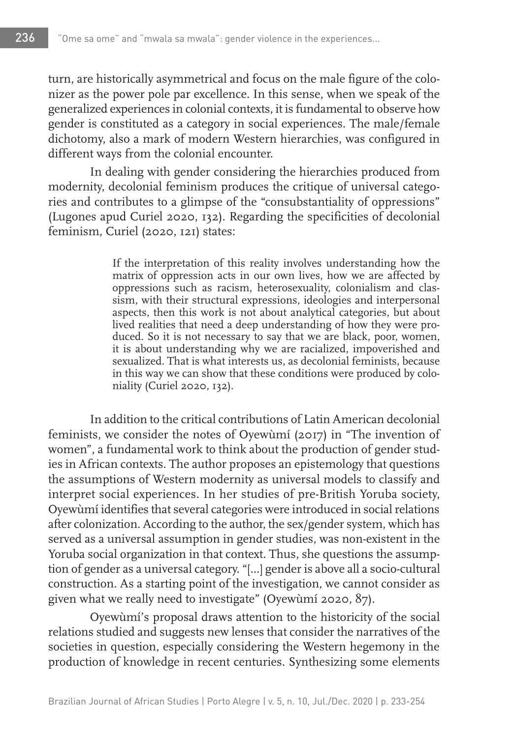turn, are historically asymmetrical and focus on the male figure of the colonizer as the power pole par excellence. In this sense, when we speak of the generalized experiences in colonial contexts, it is fundamental to observe how gender is constituted as a category in social experiences. The male/female dichotomy, also a mark of modern Western hierarchies, was configured in different ways from the colonial encounter.

In dealing with gender considering the hierarchies produced from modernity, decolonial feminism produces the critique of universal categories and contributes to a glimpse of the "consubstantiality of oppressions" (Lugones apud Curiel 2020, 132). Regarding the specificities of decolonial feminism, Curiel (2020, 121) states:

> If the interpretation of this reality involves understanding how the matrix of oppression acts in our own lives, how we are affected by oppressions such as racism, heterosexuality, colonialism and classism, with their structural expressions, ideologies and interpersonal aspects, then this work is not about analytical categories, but about lived realities that need a deep understanding of how they were produced. So it is not necessary to say that we are black, poor, women, it is about understanding why we are racialized, impoverished and sexualized. That is what interests us, as decolonial feminists, because in this way we can show that these conditions were produced by coloniality (Curiel 2020, 132).

In addition to the critical contributions of Latin American decolonial feminists, we consider the notes of Oyewùmí (2017) in "The invention of women", a fundamental work to think about the production of gender studies in African contexts. The author proposes an epistemology that questions the assumptions of Western modernity as universal models to classify and interpret social experiences. In her studies of pre-British Yoruba society, Oyewùmí identifies that several categories were introduced in social relations after colonization. According to the author, the sex/gender system, which has served as a universal assumption in gender studies, was non-existent in the Yoruba social organization in that context. Thus, she questions the assumption of gender as a universal category. "[...] gender is above all a socio-cultural construction. As a starting point of the investigation, we cannot consider as given what we really need to investigate" (Oyewùmí 2020, 87).

Oyewùmí's proposal draws attention to the historicity of the social relations studied and suggests new lenses that consider the narratives of the societies in question, especially considering the Western hegemony in the production of knowledge in recent centuries. Synthesizing some elements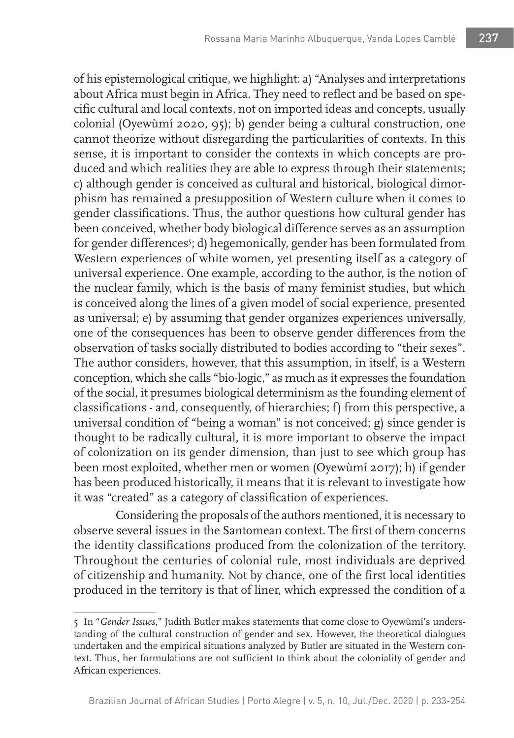of his epistemological critique, we highlight: a) "Analyses and interpretations about Africa must begin in Africa. They need to reflect and be based on specific cultural and local contexts, not on imported ideas and concepts, usually colonial (Oyewùmí 2020, 95); b) gender being a cultural construction, one cannot theorize without disregarding the particularities of contexts. In this sense, it is important to consider the contexts in which concepts are produced and which realities they are able to express through their statements; c) although gender is conceived as cultural and historical, biological dimorphism has remained a presupposition of Western culture when it comes to gender classifications. Thus, the author questions how cultural gender has been conceived, whether body biological difference serves as an assumption for gender differences<sup>5</sup>; d) hegemonically, gender has been formulated from Western experiences of white women, yet presenting itself as a category of universal experience. One example, according to the author, is the notion of the nuclear family, which is the basis of many feminist studies, but which is conceived along the lines of a given model of social experience, presented as universal; e) by assuming that gender organizes experiences universally, one of the consequences has been to observe gender differences from the observation of tasks socially distributed to bodies according to "their sexes". The author considers, however, that this assumption, in itself, is a Western conception, which she calls "bio-logic," as much as it expresses the foundation of the social, it presumes biological determinism as the founding element of classifications - and, consequently, of hierarchies; f) from this perspective, a universal condition of "being a woman" is not conceived; g) since gender is thought to be radically cultural, it is more important to observe the impact of colonization on its gender dimension, than just to see which group has been most exploited, whether men or women (Oyewùmí 2017); h) if gender has been produced historically, it means that it is relevant to investigate how it was "created" as a category of classification of experiences.

Considering the proposals of the authors mentioned, it is necessary to observe several issues in the Santomean context. The first of them concerns the identity classifications produced from the colonization of the territory. Throughout the centuries of colonial rule, most individuals are deprived of citizenship and humanity. Not by chance, one of the first local identities produced in the territory is that of liner, which expressed the condition of a

<sup>5</sup> In "*Gender Issues*," Judith Butler makes statements that come close to Oyewùmí's understanding of the cultural construction of gender and sex. However, the theoretical dialogues undertaken and the empirical situations analyzed by Butler are situated in the Western context. Thus, her formulations are not sufficient to think about the coloniality of gender and African experiences.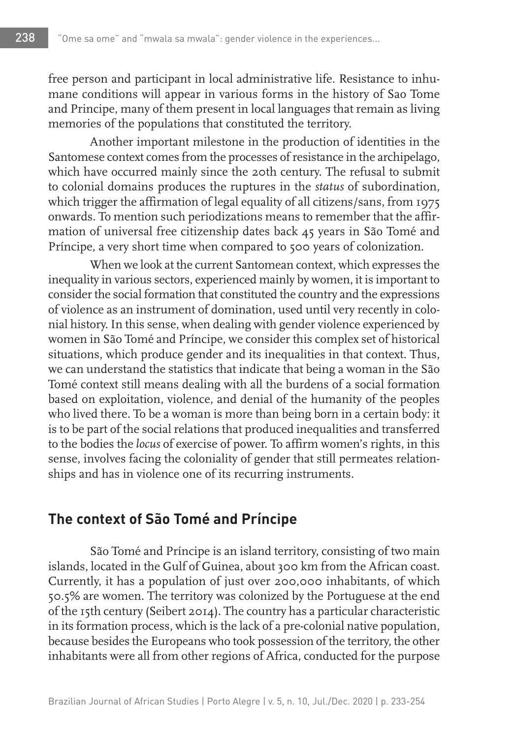free person and participant in local administrative life. Resistance to inhumane conditions will appear in various forms in the history of Sao Tome and Principe, many of them present in local languages that remain as living memories of the populations that constituted the territory.

Another important milestone in the production of identities in the Santomese context comes from the processes of resistance in the archipelago, which have occurred mainly since the 20th century. The refusal to submit to colonial domains produces the ruptures in the *status* of subordination, which trigger the affirmation of legal equality of all citizens/sans, from 1975 onwards. To mention such periodizations means to remember that the affirmation of universal free citizenship dates back 45 years in São Tomé and Príncipe, a very short time when compared to 500 years of colonization.

When we look at the current Santomean context, which expresses the inequality in various sectors, experienced mainly by women, it is important to consider the social formation that constituted the country and the expressions of violence as an instrument of domination, used until very recently in colonial history. In this sense, when dealing with gender violence experienced by women in São Tomé and Príncipe, we consider this complex set of historical situations, which produce gender and its inequalities in that context. Thus, we can understand the statistics that indicate that being a woman in the São Tomé context still means dealing with all the burdens of a social formation based on exploitation, violence, and denial of the humanity of the peoples who lived there. To be a woman is more than being born in a certain body: it is to be part of the social relations that produced inequalities and transferred to the bodies the *locus* of exercise of power. To affirm women's rights, in this sense, involves facing the coloniality of gender that still permeates relationships and has in violence one of its recurring instruments.

## **The context of São Tomé and Príncipe**

São Tomé and Príncipe is an island territory, consisting of two main islands, located in the Gulf of Guinea, about 300 km from the African coast. Currently, it has a population of just over 200,000 inhabitants, of which 50.5% are women. The territory was colonized by the Portuguese at the end of the 15th century (Seibert 2014). The country has a particular characteristic in its formation process, which is the lack of a pre-colonial native population, because besides the Europeans who took possession of the territory, the other inhabitants were all from other regions of Africa, conducted for the purpose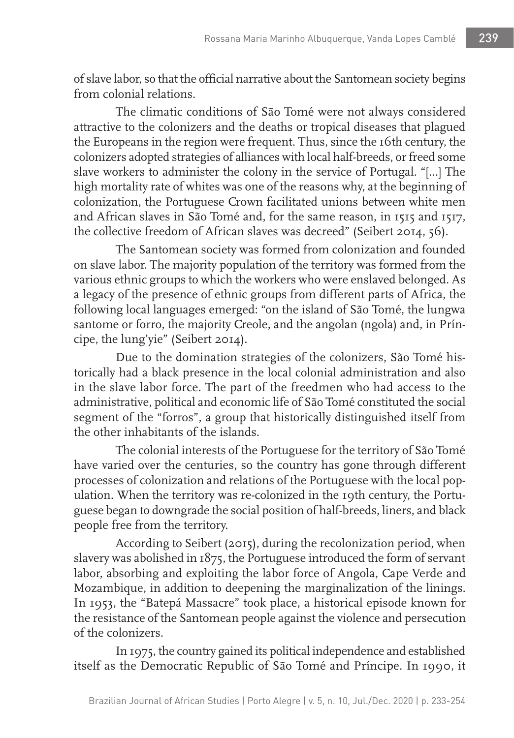of slave labor, so that the official narrative about the Santomean society begins from colonial relations.

The climatic conditions of São Tomé were not always considered attractive to the colonizers and the deaths or tropical diseases that plagued the Europeans in the region were frequent. Thus, since the 16th century, the colonizers adopted strategies of alliances with local half-breeds, or freed some slave workers to administer the colony in the service of Portugal. "[...] The high mortality rate of whites was one of the reasons why, at the beginning of colonization, the Portuguese Crown facilitated unions between white men and African slaves in São Tomé and, for the same reason, in 1515 and 1517, the collective freedom of African slaves was decreed" (Seibert 2014, 56).

The Santomean society was formed from colonization and founded on slave labor. The majority population of the territory was formed from the various ethnic groups to which the workers who were enslaved belonged. As a legacy of the presence of ethnic groups from different parts of Africa, the following local languages emerged: "on the island of São Tomé, the lungwa santome or forro, the majority Creole, and the angolan (ngola) and, in Príncipe, the lung'yie" (Seibert 2014).

Due to the domination strategies of the colonizers, São Tomé historically had a black presence in the local colonial administration and also in the slave labor force. The part of the freedmen who had access to the administrative, political and economic life of São Tomé constituted the social segment of the "forros", a group that historically distinguished itself from the other inhabitants of the islands.

The colonial interests of the Portuguese for the territory of São Tomé have varied over the centuries, so the country has gone through different processes of colonization and relations of the Portuguese with the local population. When the territory was re-colonized in the 19th century, the Portuguese began to downgrade the social position of half-breeds, liners, and black people free from the territory.

According to Seibert (2015), during the recolonization period, when slavery was abolished in 1875, the Portuguese introduced the form of servant labor, absorbing and exploiting the labor force of Angola, Cape Verde and Mozambique, in addition to deepening the marginalization of the linings. In 1953, the "Batepá Massacre" took place, a historical episode known for the resistance of the Santomean people against the violence and persecution of the colonizers.

In 1975, the country gained its political independence and established itself as the Democratic Republic of São Tomé and Príncipe. In 1990, it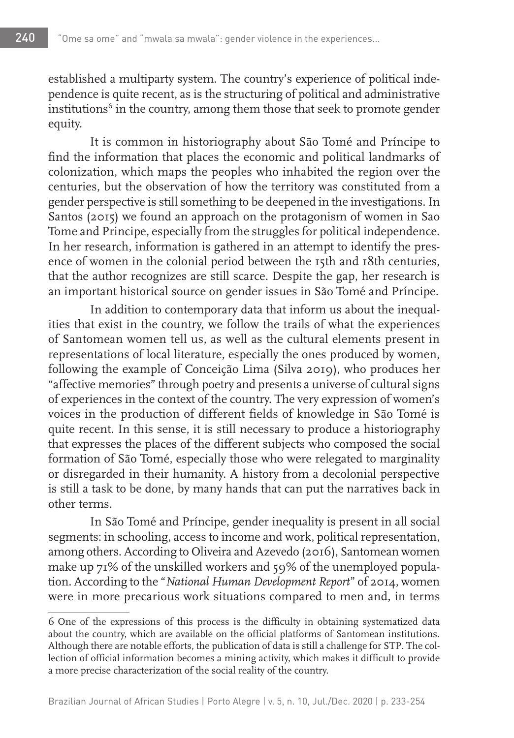established a multiparty system. The country's experience of political independence is quite recent, as is the structuring of political and administrative  $in$ stitutions $6$  in the country, among them those that seek to promote gender equity.

It is common in historiography about São Tomé and Príncipe to find the information that places the economic and political landmarks of colonization, which maps the peoples who inhabited the region over the centuries, but the observation of how the territory was constituted from a gender perspective is still something to be deepened in the investigations. In Santos (2015) we found an approach on the protagonism of women in Sao Tome and Principe, especially from the struggles for political independence. In her research, information is gathered in an attempt to identify the presence of women in the colonial period between the 15th and 18th centuries, that the author recognizes are still scarce. Despite the gap, her research is an important historical source on gender issues in São Tomé and Príncipe.

In addition to contemporary data that inform us about the inequalities that exist in the country, we follow the trails of what the experiences of Santomean women tell us, as well as the cultural elements present in representations of local literature, especially the ones produced by women, following the example of Conceição Lima (Silva 2019), who produces her "affective memories" through poetry and presents a universe of cultural signs of experiences in the context of the country. The very expression of women's voices in the production of different fields of knowledge in São Tomé is quite recent. In this sense, it is still necessary to produce a historiography that expresses the places of the different subjects who composed the social formation of São Tomé, especially those who were relegated to marginality or disregarded in their humanity. A history from a decolonial perspective is still a task to be done, by many hands that can put the narratives back in other terms.

In São Tomé and Príncipe, gender inequality is present in all social segments: in schooling, access to income and work, political representation, among others. According to Oliveira and Azevedo (2016), Santomean women make up 71% of the unskilled workers and 59% of the unemployed population. According to the "*National Human Development Report*" of 2014, women were in more precarious work situations compared to men and, in terms

<sup>6</sup> One of the expressions of this process is the difficulty in obtaining systematized data about the country, which are available on the official platforms of Santomean institutions. Although there are notable efforts, the publication of data is still a challenge for STP. The collection of official information becomes a mining activity, which makes it difficult to provide a more precise characterization of the social reality of the country.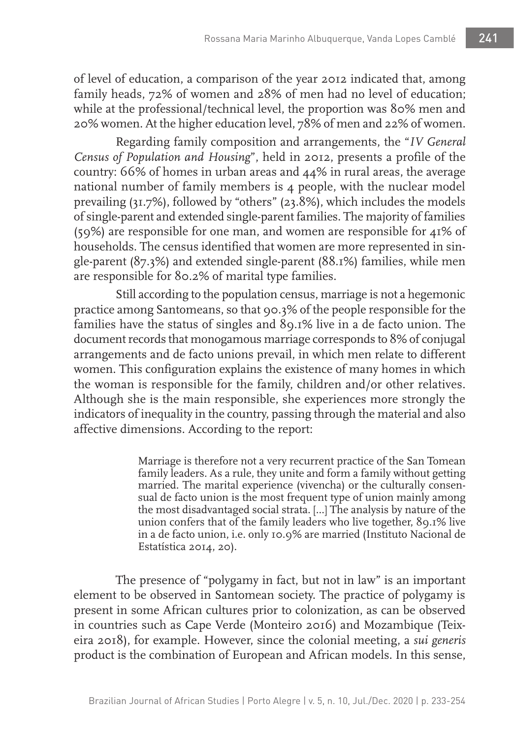of level of education, a comparison of the year 2012 indicated that, among family heads, 72% of women and 28% of men had no level of education; while at the professional/technical level, the proportion was 80% men and 20% women. At the higher education level, 78% of men and 22% of women.

Regarding family composition and arrangements, the "*IV General Census of Population and Housing*", held in 2012, presents a profile of the country: 66% of homes in urban areas and 44% in rural areas, the average national number of family members is 4 people, with the nuclear model prevailing (31.7%), followed by "others" (23.8%), which includes the models of single-parent and extended single-parent families. The majority of families (59%) are responsible for one man, and women are responsible for 41% of households. The census identified that women are more represented in single-parent (87.3%) and extended single-parent (88.1%) families, while men are responsible for 80.2% of marital type families.

Still according to the population census, marriage is not a hegemonic practice among Santomeans, so that 90.3% of the people responsible for the families have the status of singles and 89.1% live in a de facto union. The document records that monogamous marriage corresponds to 8% of conjugal arrangements and de facto unions prevail, in which men relate to different women. This configuration explains the existence of many homes in which the woman is responsible for the family, children and/or other relatives. Although she is the main responsible, she experiences more strongly the indicators of inequality in the country, passing through the material and also affective dimensions. According to the report:

> Marriage is therefore not a very recurrent practice of the San Tomean family leaders. As a rule, they unite and form a family without getting married. The marital experience (vivencha) or the culturally consensual de facto union is the most frequent type of union mainly among the most disadvantaged social strata. [...] The analysis by nature of the union confers that of the family leaders who live together, 89.1% live in a de facto union, i.e. only 10.9% are married (Instituto Nacional de Estatística 2014, 20).

The presence of "polygamy in fact, but not in law" is an important element to be observed in Santomean society. The practice of polygamy is present in some African cultures prior to colonization, as can be observed in countries such as Cape Verde (Monteiro 2016) and Mozambique (Teixeira 2018), for example. However, since the colonial meeting, a *sui generis* product is the combination of European and African models. In this sense,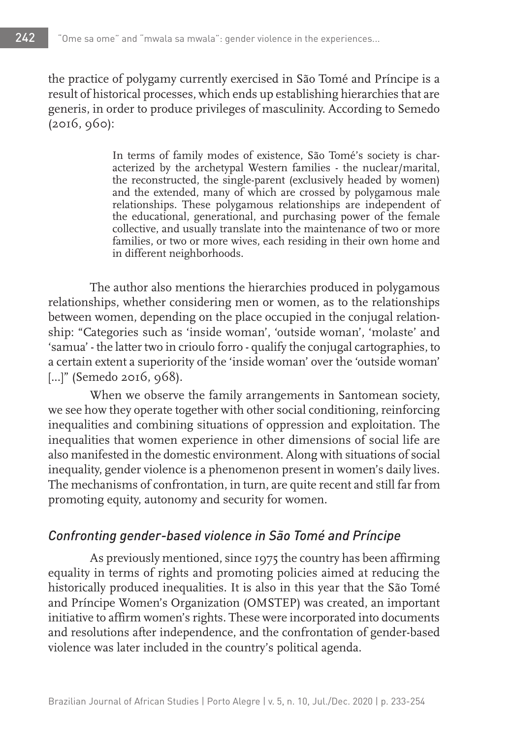the practice of polygamy currently exercised in São Tomé and Príncipe is a result of historical processes, which ends up establishing hierarchies that are generis, in order to produce privileges of masculinity. According to Semedo (2016, 960):

> In terms of family modes of existence, São Tomé's society is characterized by the archetypal Western families - the nuclear/marital, the reconstructed, the single-parent (exclusively headed by women) and the extended, many of which are crossed by polygamous male relationships. These polygamous relationships are independent of the educational, generational, and purchasing power of the female collective, and usually translate into the maintenance of two or more families, or two or more wives, each residing in their own home and in different neighborhoods.

The author also mentions the hierarchies produced in polygamous relationships, whether considering men or women, as to the relationships between women, depending on the place occupied in the conjugal relationship: "Categories such as 'inside woman', 'outside woman', 'molaste' and 'samua' - the latter two in crioulo forro - qualify the conjugal cartographies, to a certain extent a superiority of the 'inside woman' over the 'outside woman' [...]" (Semedo 2016, 968).

When we observe the family arrangements in Santomean society, we see how they operate together with other social conditioning, reinforcing inequalities and combining situations of oppression and exploitation. The inequalities that women experience in other dimensions of social life are also manifested in the domestic environment. Along with situations of social inequality, gender violence is a phenomenon present in women's daily lives. The mechanisms of confrontation, in turn, are quite recent and still far from promoting equity, autonomy and security for women.

### *Confronting gender-based violence in São Tomé and Príncipe*

As previously mentioned, since 1975 the country has been affirming equality in terms of rights and promoting policies aimed at reducing the historically produced inequalities. It is also in this year that the São Tomé and Príncipe Women's Organization (OMSTEP) was created, an important initiative to affirm women's rights. These were incorporated into documents and resolutions after independence, and the confrontation of gender-based violence was later included in the country's political agenda.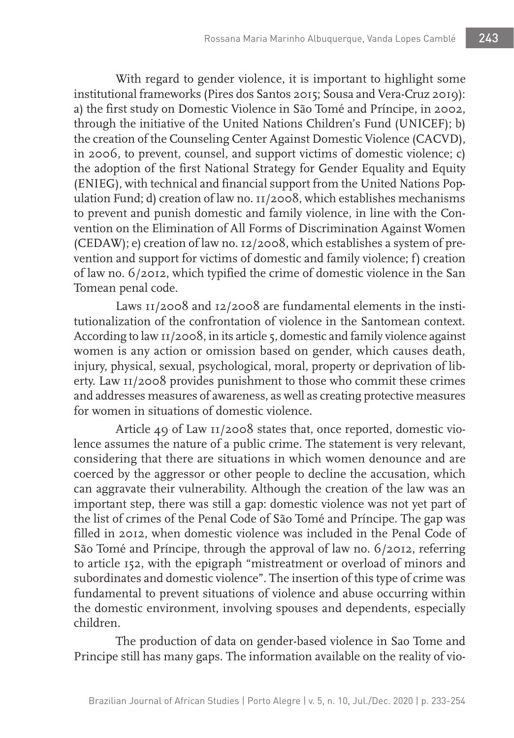With regard to gender violence, it is important to highlight some institutional frameworks (Pires dos Santos 2015; Sousa and Vera-Cruz 2019): a) the first study on Domestic Violence in São Tomé and Príncipe, in 2002, through the initiative of the United Nations Children's Fund (UNICEF); b) the creation of the Counseling Center Against Domestic Violence (CACVD), in 2006, to prevent, counsel, and support victims of domestic violence; c) the adoption of the first National Strategy for Gender Equality and Equity (ENIEG), with technical and financial support from the United Nations Population Fund; d) creation of law no. 11/2008, which establishes mechanisms to prevent and punish domestic and family violence, in line with the Convention on the Elimination of All Forms of Discrimination Against Women (CEDAW); e) creation of law no. 12/2008, which establishes a system of prevention and support for victims of domestic and family violence; f) creation of law no. 6/2012, which typified the crime of domestic violence in the San Tomean penal code.

Laws 11/2008 and 12/2008 are fundamental elements in the institutionalization of the confrontation of violence in the Santomean context. According to law  $\text{II}/2008$ , in its article 5, domestic and family violence against women is any action or omission based on gender, which causes death, injury, physical, sexual, psychological, moral, property or deprivation of liberty. Law 11/2008 provides punishment to those who commit these crimes and addresses measures of awareness, as well as creating protective measures for women in situations of domestic violence.

Article 49 of Law 11/2008 states that, once reported, domestic violence assumes the nature of a public crime. The statement is very relevant, considering that there are situations in which women denounce and are coerced by the aggressor or other people to decline the accusation, which can aggravate their vulnerability. Although the creation of the law was an important step, there was still a gap: domestic violence was not yet part of the list of crimes of the Penal Code of São Tomé and Príncipe. The gap was filled in 2012, when domestic violence was included in the Penal Code of São Tomé and Príncipe, through the approval of law no. 6/2012, referring to article 152, with the epigraph "mistreatment or overload of minors and subordinates and domestic violence". The insertion of this type of crime was fundamental to prevent situations of violence and abuse occurring within the domestic environment, involving spouses and dependents, especially children.

The production of data on gender-based violence in Sao Tome and Principe still has many gaps. The information available on the reality of vio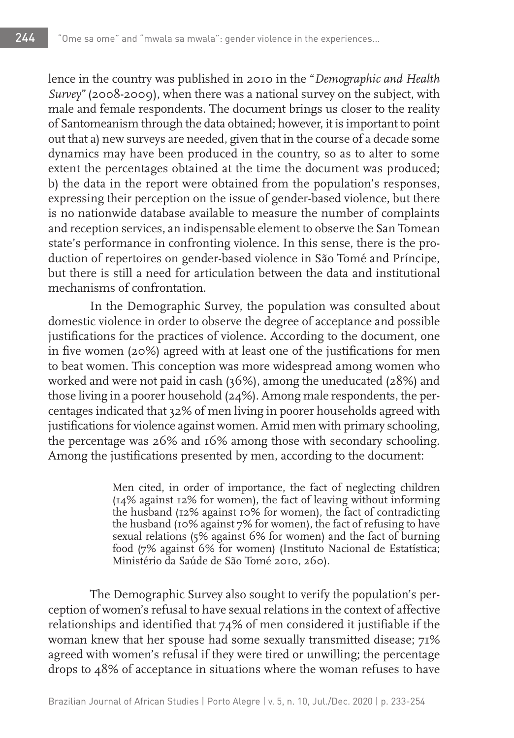lence in the country was published in 2010 in the "*Demographic and Health Survey"* (2008-2009), when there was a national survey on the subject, with male and female respondents. The document brings us closer to the reality of Santomeanism through the data obtained; however, it is important to point out that a) new surveys are needed, given that in the course of a decade some dynamics may have been produced in the country, so as to alter to some extent the percentages obtained at the time the document was produced; b) the data in the report were obtained from the population's responses, expressing their perception on the issue of gender-based violence, but there is no nationwide database available to measure the number of complaints and reception services, an indispensable element to observe the San Tomean state's performance in confronting violence. In this sense, there is the production of repertoires on gender-based violence in São Tomé and Príncipe, but there is still a need for articulation between the data and institutional mechanisms of confrontation.

In the Demographic Survey, the population was consulted about domestic violence in order to observe the degree of acceptance and possible justifications for the practices of violence. According to the document, one in five women (20%) agreed with at least one of the justifications for men to beat women. This conception was more widespread among women who worked and were not paid in cash (36%), among the uneducated (28%) and those living in a poorer household (24%). Among male respondents, the percentages indicated that 32% of men living in poorer households agreed with justifications for violence against women. Amid men with primary schooling, the percentage was 26% and 16% among those with secondary schooling. Among the justifications presented by men, according to the document:

> Men cited, in order of importance, the fact of neglecting children (14% against 12% for women), the fact of leaving without informing the husband (12% against 10% for women), the fact of contradicting the husband (10% against 7% for women), the fact of refusing to have sexual relations (5% against 6% for women) and the fact of burning food (7% against 6% for women) (Instituto Nacional de Estatística; Ministério da Saúde de São Tomé 2010, 260).

The Demographic Survey also sought to verify the population's perception of women's refusal to have sexual relations in the context of affective relationships and identified that 74% of men considered it justifiable if the woman knew that her spouse had some sexually transmitted disease; 71% agreed with women's refusal if they were tired or unwilling; the percentage drops to 48% of acceptance in situations where the woman refuses to have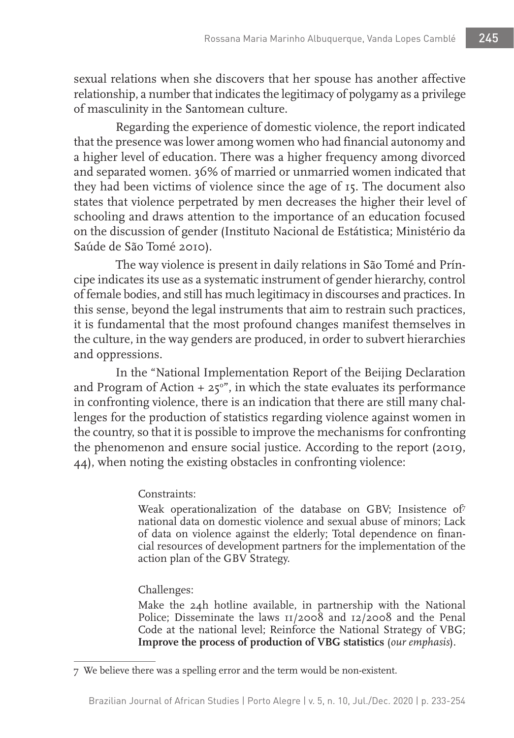sexual relations when she discovers that her spouse has another affective relationship, a number that indicates the legitimacy of polygamy as a privilege of masculinity in the Santomean culture.

Regarding the experience of domestic violence, the report indicated that the presence was lower among women who had financial autonomy and a higher level of education. There was a higher frequency among divorced and separated women. 36% of married or unmarried women indicated that they had been victims of violence since the age of 15. The document also states that violence perpetrated by men decreases the higher their level of schooling and draws attention to the importance of an education focused on the discussion of gender (Instituto Nacional de Estátistica; Ministério da Saúde de São Tomé 2010).

The way violence is present in daily relations in São Tomé and Príncipe indicates its use as a systematic instrument of gender hierarchy, control of female bodies, and still has much legitimacy in discourses and practices. In this sense, beyond the legal instruments that aim to restrain such practices, it is fundamental that the most profound changes manifest themselves in the culture, in the way genders are produced, in order to subvert hierarchies and oppressions.

In the "National Implementation Report of the Beijing Declaration and Program of Action  $+ 25^{\circ}$ ", in which the state evaluates its performance in confronting violence, there is an indication that there are still many challenges for the production of statistics regarding violence against women in the country, so that it is possible to improve the mechanisms for confronting the phenomenon and ensure social justice. According to the report (2019, 44), when noting the existing obstacles in confronting violence:

#### Constraints:

Weak operationalization of the database on GBV; Insistence of7 national data on domestic violence and sexual abuse of minors; Lack of data on violence against the elderly; Total dependence on financial resources of development partners for the implementation of the action plan of the GBV Strategy.

## Challenges:

Make the 24h hotline available, in partnership with the National Police; Disseminate the laws 11/2008 and 12/2008 and the Penal Code at the national level; Reinforce the National Strategy of VBG; **Improve the process of production of VBG statistics** (*our emphasis*).

<sup>7</sup> We believe there was a spelling error and the term would be non-existent.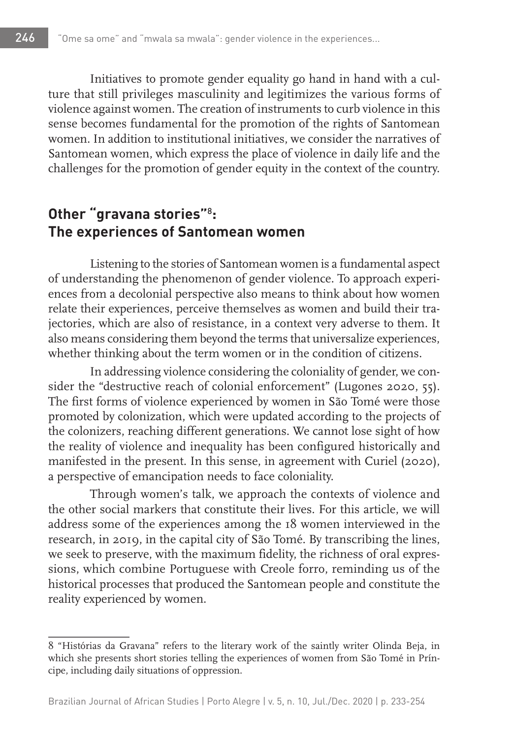Initiatives to promote gender equality go hand in hand with a culture that still privileges masculinity and legitimizes the various forms of violence against women. The creation of instruments to curb violence in this sense becomes fundamental for the promotion of the rights of Santomean women. In addition to institutional initiatives, we consider the narratives of Santomean women, which express the place of violence in daily life and the challenges for the promotion of gender equity in the context of the country.

## **Other "gravana stories"**<sup>8</sup> **: The experiences of Santomean women**

Listening to the stories of Santomean women is a fundamental aspect of understanding the phenomenon of gender violence. To approach experiences from a decolonial perspective also means to think about how women relate their experiences, perceive themselves as women and build their trajectories, which are also of resistance, in a context very adverse to them. It also means considering them beyond the terms that universalize experiences, whether thinking about the term women or in the condition of citizens.

In addressing violence considering the coloniality of gender, we consider the "destructive reach of colonial enforcement" (Lugones 2020, 55). The first forms of violence experienced by women in São Tomé were those promoted by colonization, which were updated according to the projects of the colonizers, reaching different generations. We cannot lose sight of how the reality of violence and inequality has been configured historically and manifested in the present. In this sense, in agreement with Curiel (2020), a perspective of emancipation needs to face coloniality.

Through women's talk, we approach the contexts of violence and the other social markers that constitute their lives. For this article, we will address some of the experiences among the 18 women interviewed in the research, in 2019, in the capital city of São Tomé. By transcribing the lines, we seek to preserve, with the maximum fidelity, the richness of oral expressions, which combine Portuguese with Creole forro, reminding us of the historical processes that produced the Santomean people and constitute the reality experienced by women.

<sup>8</sup> "Histórias da Gravana" refers to the literary work of the saintly writer Olinda Beja, in which she presents short stories telling the experiences of women from São Tomé in Príncipe, including daily situations of oppression.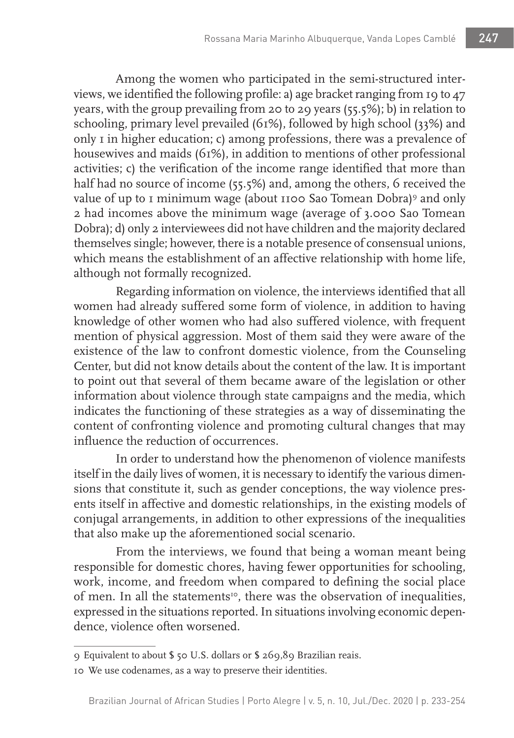Among the women who participated in the semi-structured interviews, we identified the following profile: a) age bracket ranging from 19 to 47 years, with the group prevailing from 20 to 29 years (55.5%); b) in relation to schooling, primary level prevailed (61%), followed by high school (33%) and only 1 in higher education; c) among professions, there was a prevalence of housewives and maids (61%), in addition to mentions of other professional activities; c) the verification of the income range identified that more than half had no source of income (55.5%) and, among the others, 6 received the value of up to I minimum wage (about 1100 Sao Tomean Dobra)<sup>9</sup> and only 2 had incomes above the minimum wage (average of 3.000 Sao Tomean Dobra); d) only 2 interviewees did not have children and the majority declared themselves single; however, there is a notable presence of consensual unions, which means the establishment of an affective relationship with home life, although not formally recognized.

Regarding information on violence, the interviews identified that all women had already suffered some form of violence, in addition to having knowledge of other women who had also suffered violence, with frequent mention of physical aggression. Most of them said they were aware of the existence of the law to confront domestic violence, from the Counseling Center, but did not know details about the content of the law. It is important to point out that several of them became aware of the legislation or other information about violence through state campaigns and the media, which indicates the functioning of these strategies as a way of disseminating the content of confronting violence and promoting cultural changes that may influence the reduction of occurrences.

In order to understand how the phenomenon of violence manifests itself in the daily lives of women, it is necessary to identify the various dimensions that constitute it, such as gender conceptions, the way violence presents itself in affective and domestic relationships, in the existing models of conjugal arrangements, in addition to other expressions of the inequalities that also make up the aforementioned social scenario.

From the interviews, we found that being a woman meant being responsible for domestic chores, having fewer opportunities for schooling, work, income, and freedom when compared to defining the social place of men. In all the statements<sup>10</sup>, there was the observation of inequalities, expressed in the situations reported. In situations involving economic dependence, violence often worsened.

<sup>9</sup> Equivalent to about \$ 50 U.S. dollars or \$ 269,89 Brazilian reais.

<sup>10</sup> We use codenames, as a way to preserve their identities.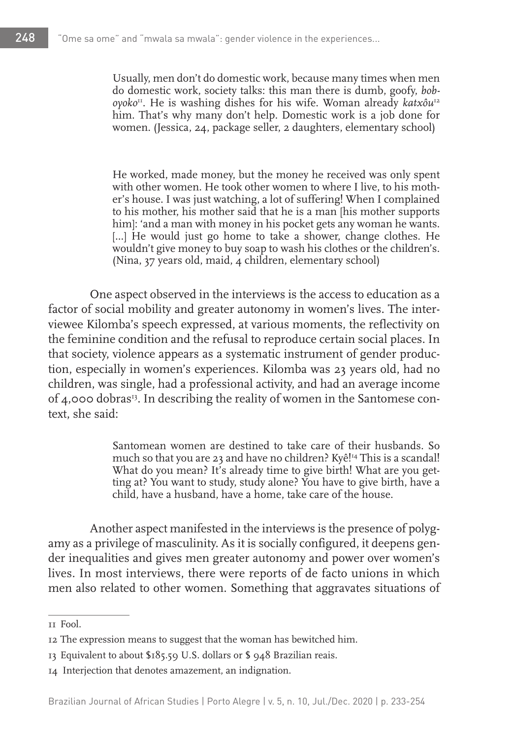Usually, men don't do domestic work, because many times when men do domestic work, society talks: this man there is dumb, goofy, *boboyoko*11. He is washing dishes for his wife. Woman already *katxôu*<sup>12</sup> him. That's why many don't help. Domestic work is a job done for women. (Jessica, 24, package seller, 2 daughters, elementary school)

He worked, made money, but the money he received was only spent with other women. He took other women to where I live, to his mother's house. I was just watching, a lot of suffering! When I complained to his mother, his mother said that he is a man [his mother supports him]: 'and a man with money in his pocket gets any woman he wants. [...] He would just go home to take a shower, change clothes. He wouldn't give money to buy soap to wash his clothes or the children's. (Nina,  $37$  years old, maid,  $4$  children, elementary school)

One aspect observed in the interviews is the access to education as a factor of social mobility and greater autonomy in women's lives. The interviewee Kilomba's speech expressed, at various moments, the reflectivity on the feminine condition and the refusal to reproduce certain social places. In that society, violence appears as a systematic instrument of gender production, especially in women's experiences. Kilomba was 23 years old, had no children, was single, had a professional activity, and had an average income of 4,000 dobras<sup>13</sup>. In describing the reality of women in the Santomese context, she said:

> Santomean women are destined to take care of their husbands. So much so that you are 23 and have no children? Kyê!<sup>14</sup> This is a scandal! What do you mean? It's already time to give birth! What are you getting at? You want to study, study alone? You have to give birth, have a child, have a husband, have a home, take care of the house.

Another aspect manifested in the interviews is the presence of polygamy as a privilege of masculinity. As it is socially configured, it deepens gender inequalities and gives men greater autonomy and power over women's lives. In most interviews, there were reports of de facto unions in which men also related to other women. Something that aggravates situations of

<sup>11</sup> Fool.

<sup>12</sup> The expression means to suggest that the woman has bewitched him.

<sup>13</sup> Equivalent to about \$185.59 U.S. dollars or \$ 948 Brazilian reais.

<sup>14</sup> Interjection that denotes amazement, an indignation.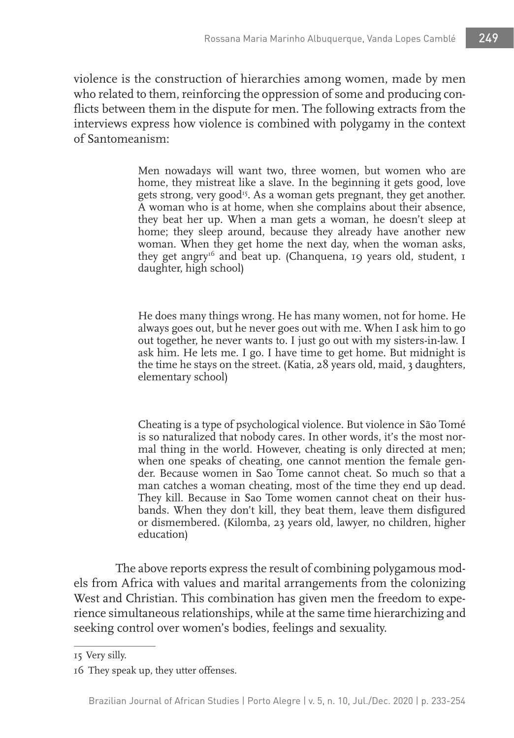violence is the construction of hierarchies among women, made by men who related to them, reinforcing the oppression of some and producing conflicts between them in the dispute for men. The following extracts from the interviews express how violence is combined with polygamy in the context of Santomeanism:

> Men nowadays will want two, three women, but women who are home, they mistreat like a slave. In the beginning it gets good, love gets strong, very good<sup>15</sup>. As a woman gets pregnant, they get another. A woman who is at home, when she complains about their absence, they beat her up. When a man gets a woman, he doesn't sleep at home; they sleep around, because they already have another new woman. When they get home the next day, when the woman asks, they get angry<sup>16</sup> and beat up. (Chanquena, 19 years old, student, 1 daughter, high school)

> He does many things wrong. He has many women, not for home. He always goes out, but he never goes out with me. When I ask him to go out together, he never wants to. I just go out with my sisters-in-law. I ask him. He lets me. I go. I have time to get home. But midnight is the time he stays on the street. (Katia, 28 years old, maid, 3 daughters, elementary school)

> Cheating is a type of psychological violence. But violence in São Tomé is so naturalized that nobody cares. In other words, it's the most normal thing in the world. However, cheating is only directed at men; when one speaks of cheating, one cannot mention the female gender. Because women in Sao Tome cannot cheat. So much so that a man catches a woman cheating, most of the time they end up dead. They kill. Because in Sao Tome women cannot cheat on their husbands. When they don't kill, they beat them, leave them disfigured or dismembered. (Kilomba, 23 years old, lawyer, no children, higher education)

The above reports express the result of combining polygamous models from Africa with values and marital arrangements from the colonizing West and Christian. This combination has given men the freedom to experience simultaneous relationships, while at the same time hierarchizing and seeking control over women's bodies, feelings and sexuality.

<sup>15</sup> Very silly.

<sup>16</sup> They speak up, they utter offenses.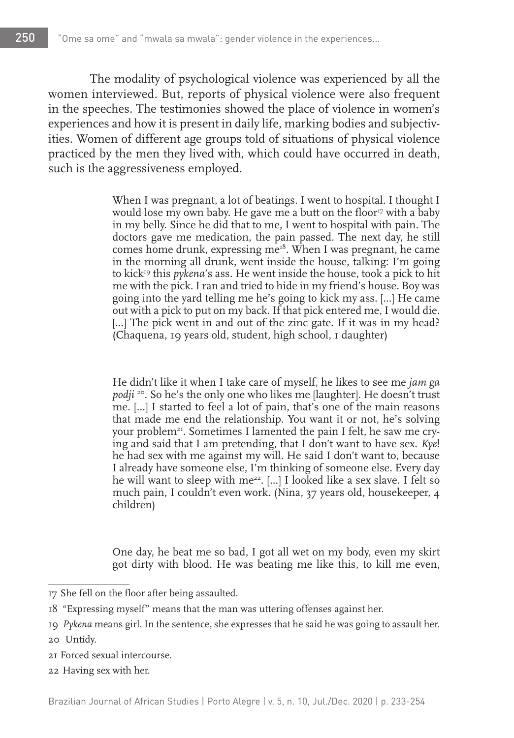The modality of psychological violence was experienced by all the women interviewed. But, reports of physical violence were also frequent in the speeches. The testimonies showed the place of violence in women's experiences and how it is present in daily life, marking bodies and subjectivities. Women of different age groups told of situations of physical violence practiced by the men they lived with, which could have occurred in death, such is the aggressiveness employed.

> When I was pregnant, a lot of beatings. I went to hospital. I thought I would lose my own baby. He gave me a butt on the floor<sup>17</sup> with a baby in my belly. Since he did that to me, I went to hospital with pain. The doctors gave me medication, the pain passed. The next day, he still comes home drunk, expressing  $me^{i\delta}$ . When I was pregnant, he came in the morning all drunk, went inside the house, talking: I'm going to kick<sup>19</sup> this *pykena*'s ass. He went inside the house, took a pick to hit me with the pick. I ran and tried to hide in my friend's house. Boy was going into the yard telling me he's going to kick my ass. [...] He came out with a pick to put on my back. If that pick entered me, I would die. [...] The pick went in and out of the zinc gate. If it was in my head? (Chaquena, 19 years old, student, high school, 1 daughter)

> He didn't like it when I take care of myself, he likes to see me *jam ga podji* <sup>20</sup>. So he's the only one who likes me [laughter]. He doesn't trust me. [...] I started to feel a lot of pain, that's one of the main reasons that made me end the relationship. You want it or not, he's solving your problem<sup>21</sup>. Sometimes I lamented the pain I felt, he saw me crying and said that I am pretending, that I don't want to have sex. *Kye*! he had sex with me against my will. He said I don't want to, because I already have someone else, I'm thinking of someone else. Every day he will want to sleep with me<sup>22</sup>. [...] I looked like a sex slave. I felt so much pain, I couldn't even work. (Nina, 37 years old, housekeeper, 4 children)

> One day, he beat me so bad, I got all wet on my body, even my skirt got dirty with blood. He was beating me like this, to kill me even,

22 Having sex with her.

<sup>17</sup> She fell on the floor after being assaulted.

<sup>18</sup> "Expressing myself" means that the man was uttering offenses against her.

<sup>19</sup> *Pykena* means girl. In the sentence, she expresses that he said he was going to assault her.

<sup>20</sup> Untidy.

<sup>21</sup> Forced sexual intercourse.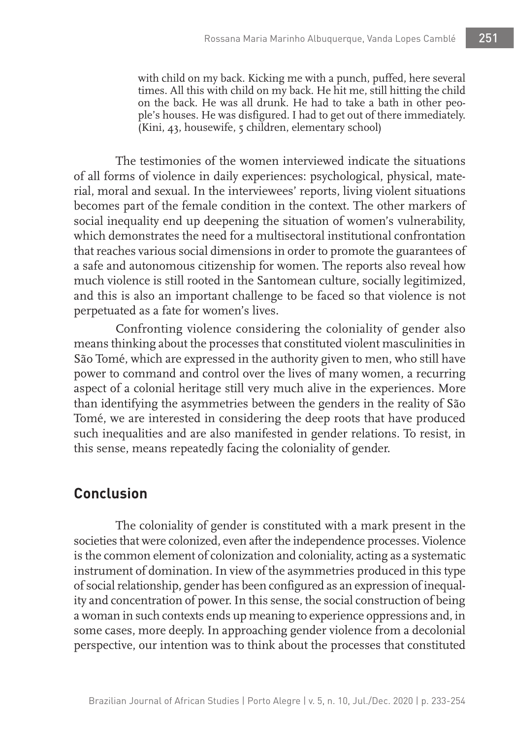with child on my back. Kicking me with a punch, puffed, here several times. All this with child on my back. He hit me, still hitting the child on the back. He was all drunk. He had to take a bath in other people's houses. He was disfigured. I had to get out of there immediately. (Kini, 43, housewife, 5 children, elementary school)

The testimonies of the women interviewed indicate the situations of all forms of violence in daily experiences: psychological, physical, material, moral and sexual. In the interviewees' reports, living violent situations becomes part of the female condition in the context. The other markers of social inequality end up deepening the situation of women's vulnerability, which demonstrates the need for a multisectoral institutional confrontation that reaches various social dimensions in order to promote the guarantees of a safe and autonomous citizenship for women. The reports also reveal how much violence is still rooted in the Santomean culture, socially legitimized, and this is also an important challenge to be faced so that violence is not perpetuated as a fate for women's lives.

Confronting violence considering the coloniality of gender also means thinking about the processes that constituted violent masculinities in São Tomé, which are expressed in the authority given to men, who still have power to command and control over the lives of many women, a recurring aspect of a colonial heritage still very much alive in the experiences. More than identifying the asymmetries between the genders in the reality of São Tomé, we are interested in considering the deep roots that have produced such inequalities and are also manifested in gender relations. To resist, in this sense, means repeatedly facing the coloniality of gender.

## **Conclusion**

The coloniality of gender is constituted with a mark present in the societies that were colonized, even after the independence processes. Violence is the common element of colonization and coloniality, acting as a systematic instrument of domination. In view of the asymmetries produced in this type of social relationship, gender has been configured as an expression of inequality and concentration of power. In this sense, the social construction of being a woman in such contexts ends up meaning to experience oppressions and, in some cases, more deeply. In approaching gender violence from a decolonial perspective, our intention was to think about the processes that constituted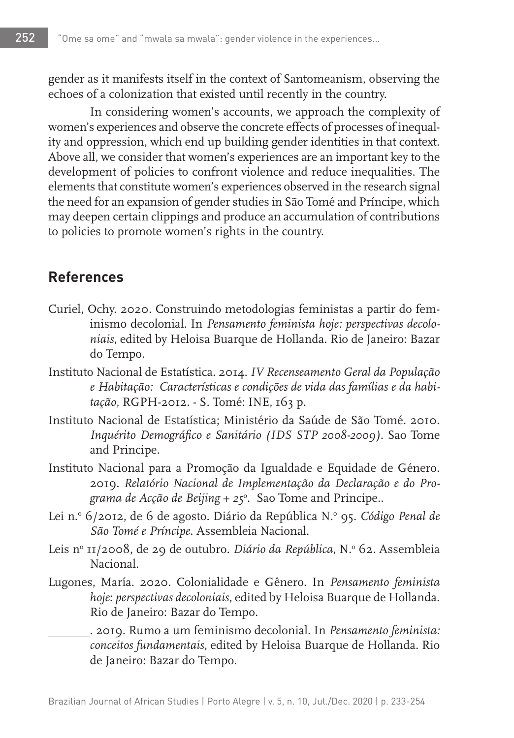gender as it manifests itself in the context of Santomeanism, observing the echoes of a colonization that existed until recently in the country.

In considering women's accounts, we approach the complexity of women's experiences and observe the concrete effects of processes of inequality and oppression, which end up building gender identities in that context. Above all, we consider that women's experiences are an important key to the development of policies to confront violence and reduce inequalities. The elements that constitute women's experiences observed in the research signal the need for an expansion of gender studies in São Tomé and Príncipe, which may deepen certain clippings and produce an accumulation of contributions to policies to promote women's rights in the country.

# **References**

- Curiel, Ochy. 2020. Construindo metodologias feministas a partir do feminismo decolonial. In *Pensamento feminista hoje: perspectivas decoloniais*, edited by Heloisa Buarque de Hollanda. Rio de Janeiro: Bazar do Tempo.
- Instituto Nacional de Estatística. 2014. *IV Recenseamento Geral da População e Habitação: Características e condições de vida das famílias e da habitação*, RGPH-2012. - S. Tomé: INE, 163 p.
- Instituto Nacional de Estatística; Ministério da Saúde de São Tomé. 2010. *Inquérito Demográfico e Sanitário (IDS STP 2008-2009)*. Sao Tome and Principe.
- Instituto Nacional para a Promoção da Igualdade e Equidade de Género. 2019. *Relatório Nacional de Implementação da Declaração e do Programa de Acção de Beijing + 25*<sup>o</sup> . Sao Tome and Principe..
- Lei n.º 6/2012, de 6 de agosto. Diário da República N.º 95. *Código Penal de São Tomé e Príncipe*. Assembleia Nacional.
- Leis nº 11/2008, de 29 de outubro. *Diário da República*, N.º 62. Assembleia Nacional.
- Lugones, María. 2020. Colonialidade e Gênero. In *Pensamento feminista hoje*: *perspectivas decoloniais*, edited by Heloisa Buarque de Hollanda. Rio de Janeiro: Bazar do Tempo.

. 2019. Rumo a um feminismo decolonial. In *Pensamento feminista: conceitos fundamentais*, edited by Heloisa Buarque de Hollanda. Rio de Janeiro: Bazar do Tempo.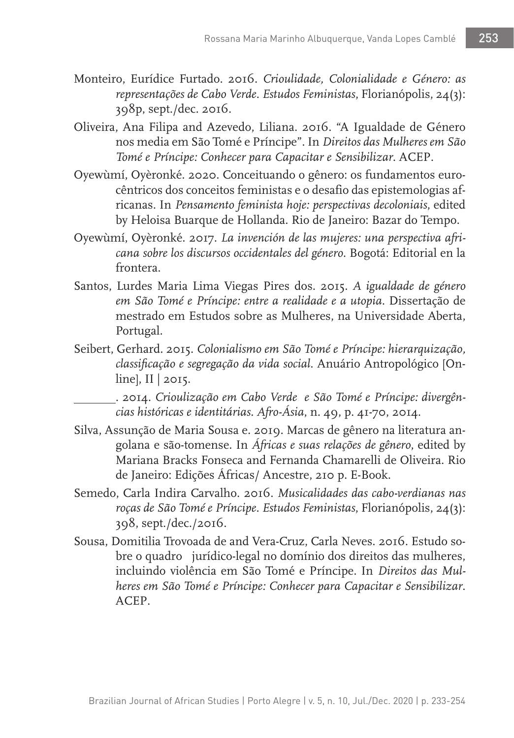- Monteiro, Eurídice Furtado. 2016. *Crioulidade, Colonialidade e Género: as representações de Cabo Verde. Estudos Feministas*, Florianópolis, 24(3): 398p, sept./dec. 2016.
- Oliveira, Ana Filipa and Azevedo, Liliana. 2016. "A Igualdade de Género nos media em São Tomé e Príncipe". In *Direitos das Mulheres em São Tomé e Príncipe: Conhecer para Capacitar e Sensibilizar*. ACEP.
- Oyewùmí, Oyèronké. 2020. Conceituando o gênero: os fundamentos eurocêntricos dos conceitos feministas e o desafio das epistemologias africanas. In *Pensamento feminista hoje: perspectivas decoloniais*, edited by Heloisa Buarque de Hollanda. Rio de Janeiro: Bazar do Tempo.
- Oyewùmí, Oyèronké. 2017. *La invención de las mujeres: una perspectiva africana sobre los discursos occidentales del género*. Bogotá: Editorial en la frontera.
- Santos, Lurdes Maria Lima Viegas Pires dos. 2015. *A igualdade de género em São Tomé e Príncipe: entre a realidade e a utopia*. Dissertação de mestrado em Estudos sobre as Mulheres, na Universidade Aberta, Portugal.
- Seibert, Gerhard. 2015. *Colonialismo em São Tomé e Príncipe: hierarquização, classificação e segregação da vida social*. Anuário Antropológico [Online], II | 2015.

. 2014. *Crioulização em Cabo Verde e São Tomé e Príncipe: divergências históricas e identitárias. Afro-Ásia*, n. 49, p. 41-70, 2014.

- Silva, Assunção de Maria Sousa e. 2019. Marcas de gênero na literatura angolana e são-tomense. In *Áfricas e suas relações de gênero*, edited by Mariana Bracks Fonseca and Fernanda Chamarelli de Oliveira. Rio de Janeiro: Edições Áfricas/ Ancestre, 210 p. E-Book.
- Semedo, Carla Indira Carvalho. 2016. *Musicalidades das cabo-verdianas nas roças de São Tomé e Príncipe. Estudos Feministas*, Florianópolis, 24(3): 398, sept./dec./2016.
- Sousa, Domitilia Trovoada de and Vera-Cruz, Carla Neves. 2016. Estudo sobre o quadro jurídico-legal no domínio dos direitos das mulheres, incluindo violência em São Tomé e Príncipe. In *Direitos das Mulheres em São Tomé e Príncipe: Conhecer para Capacitar e Sensibilizar*. ACEP.